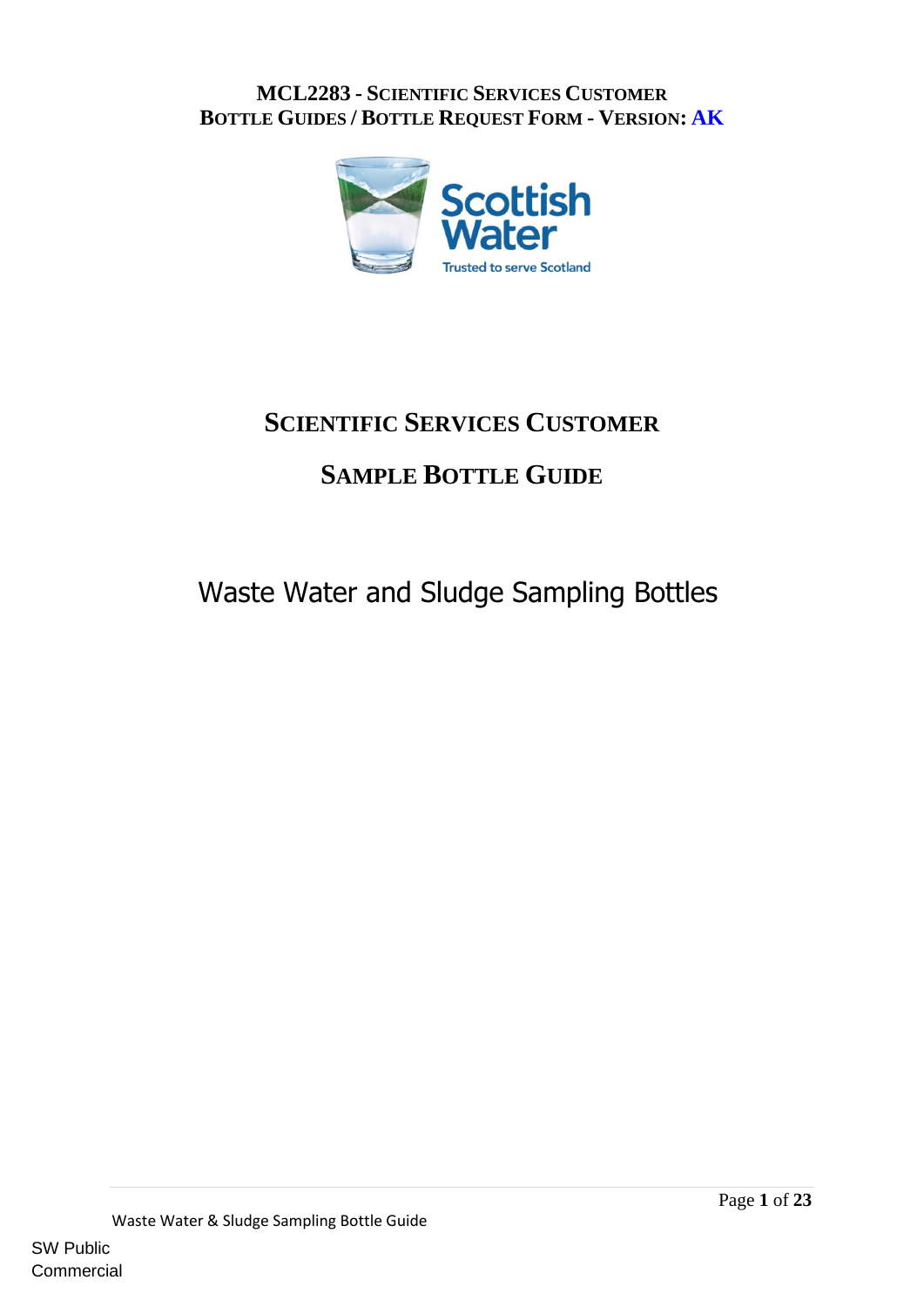

## **SCIENTIFIC SERVICES CUSTOMER**

# **SAMPLE BOTTLE GUIDE**

# Waste Water and Sludge Sampling Bottles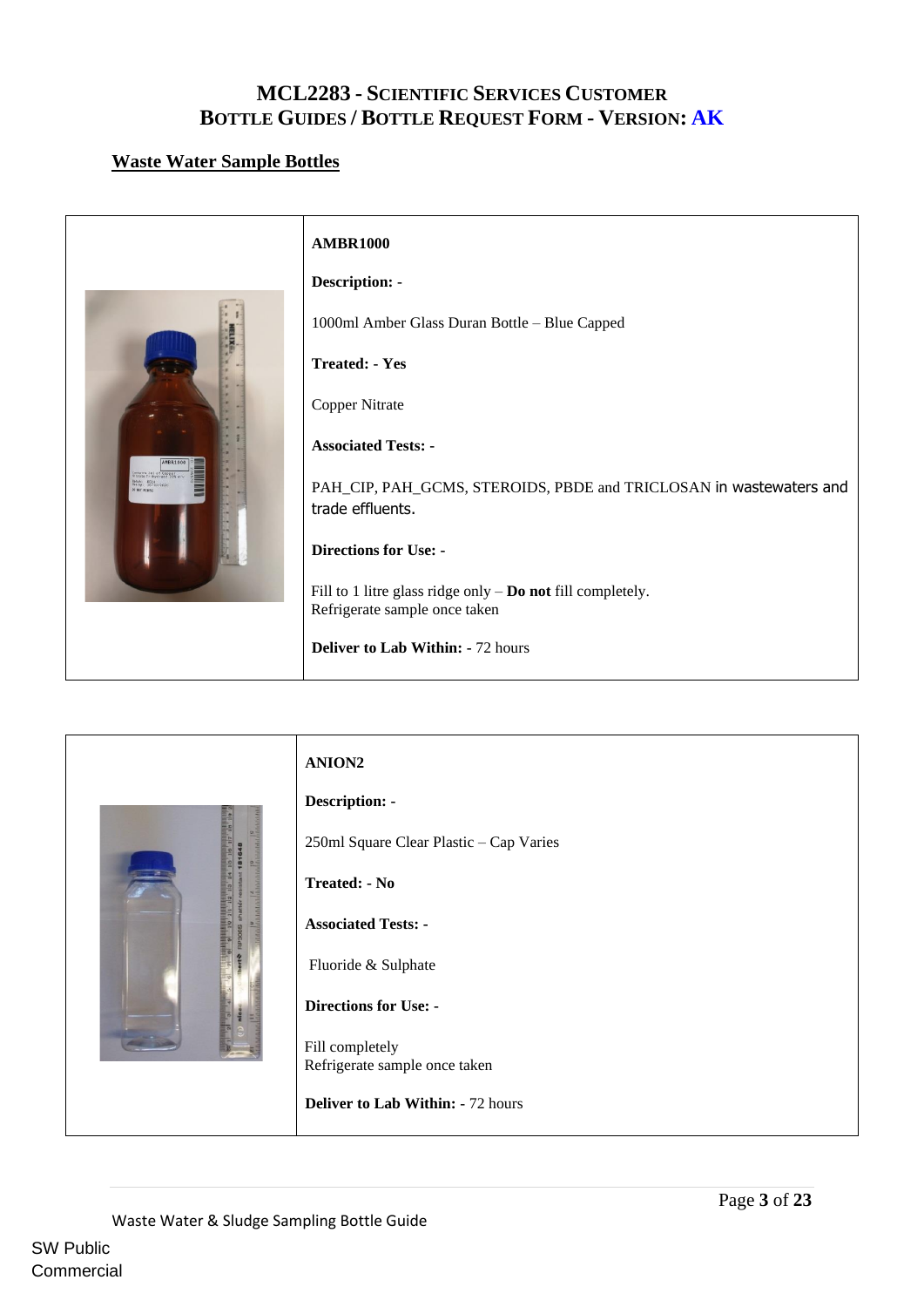#### <span id="page-2-0"></span>**Waste Water Sample Bottles**



<span id="page-2-1"></span>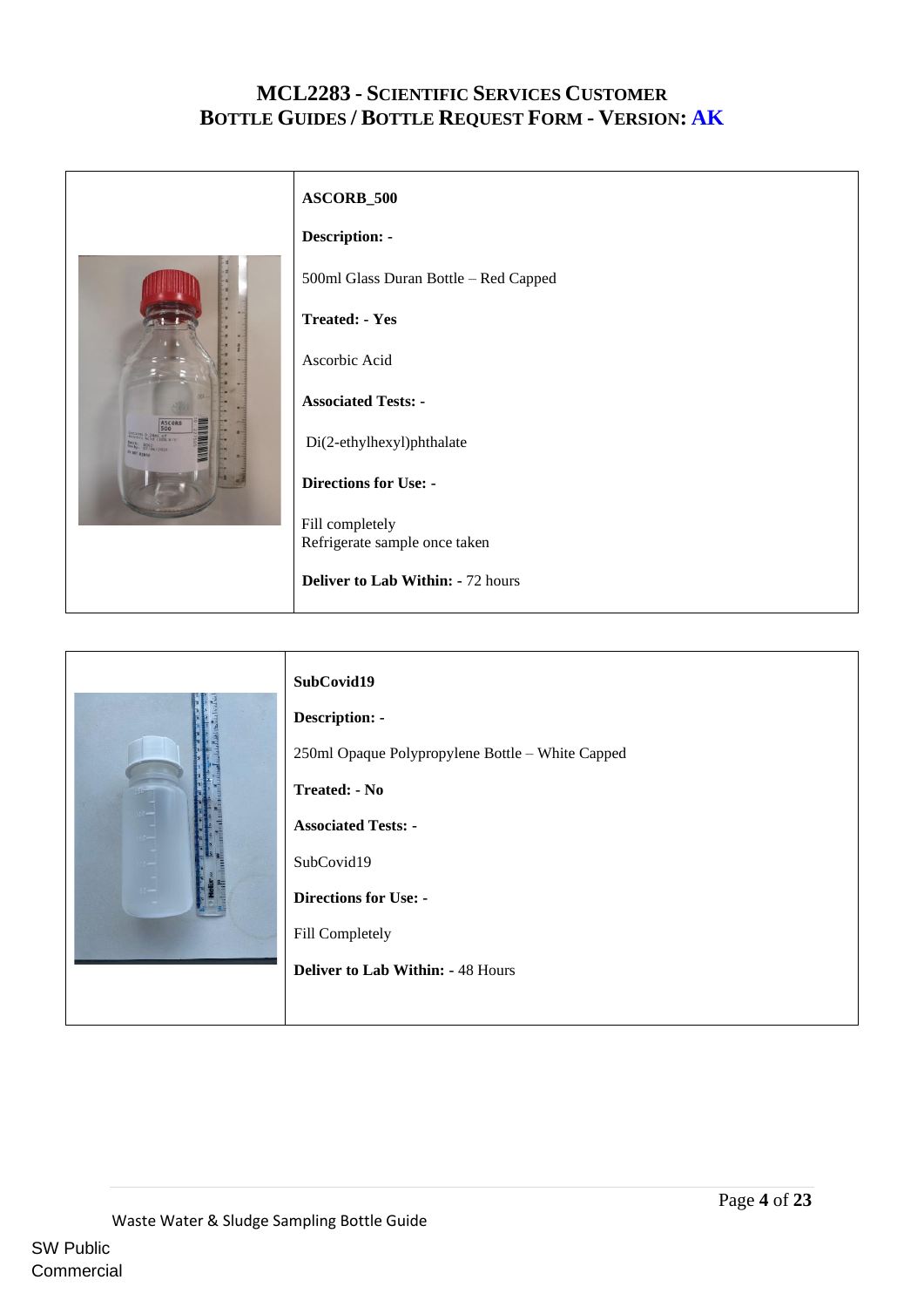<span id="page-3-0"></span>

|                                                                                  | ASCORB_500                               |
|----------------------------------------------------------------------------------|------------------------------------------|
|                                                                                  | <b>Description: -</b>                    |
|                                                                                  | 500ml Glass Duran Bottle - Red Capped    |
|                                                                                  | <b>Treated: - Yes</b>                    |
|                                                                                  | Ascorbic Acid                            |
|                                                                                  | <b>Associated Tests: -</b>               |
| ASCORB<br>500<br><b>Corains 0.24ml of</b> W/V<br>8063 6/2020<br><b>MIT BIBLE</b> | Di(2-ethylhexyl)phthalate                |
|                                                                                  | <b>Directions for Use: -</b>             |
|                                                                                  | Fill completely                          |
|                                                                                  | Refrigerate sample once taken            |
|                                                                                  | <b>Deliver to Lab Within: - 72 hours</b> |

<span id="page-3-1"></span>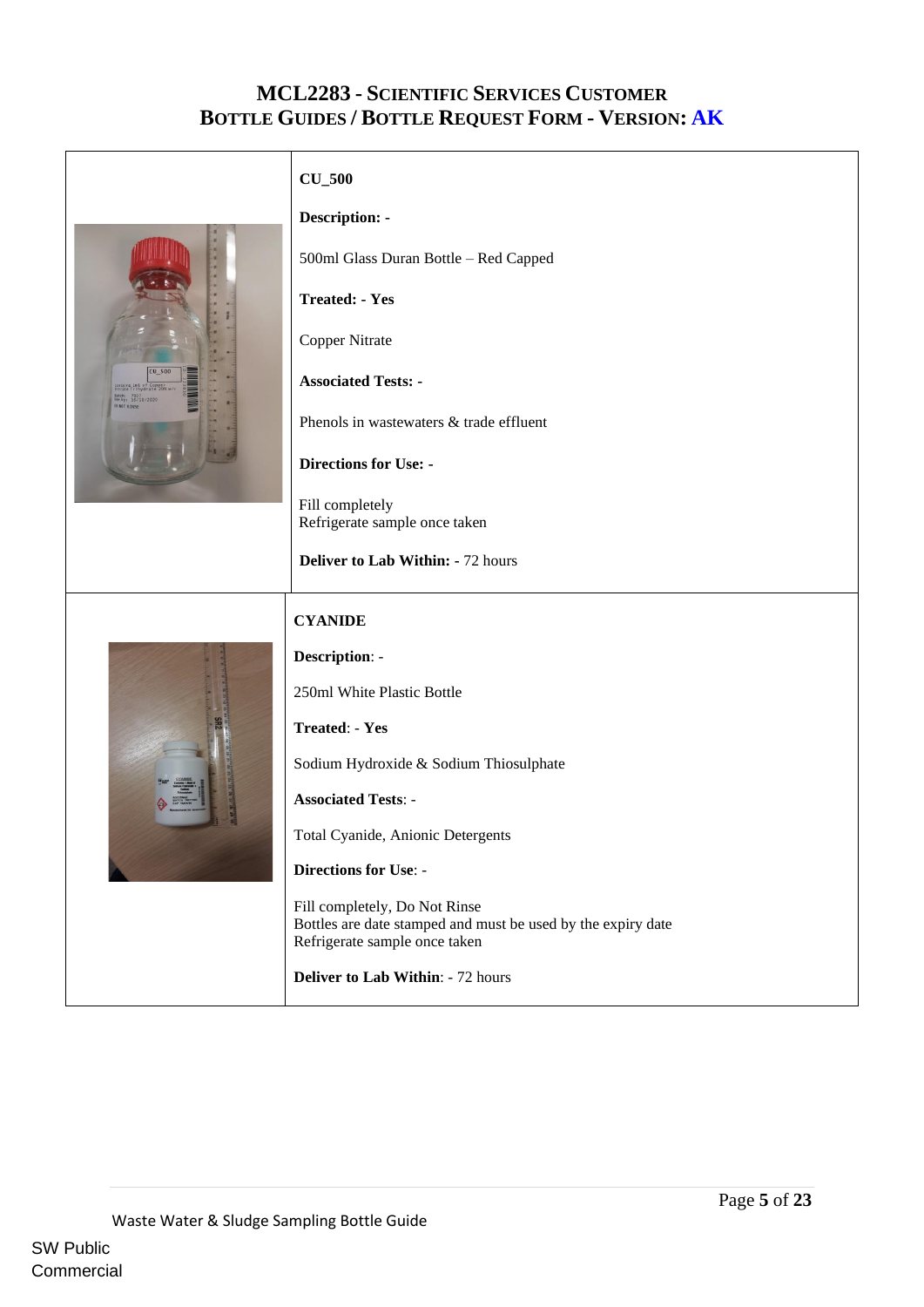<span id="page-4-0"></span>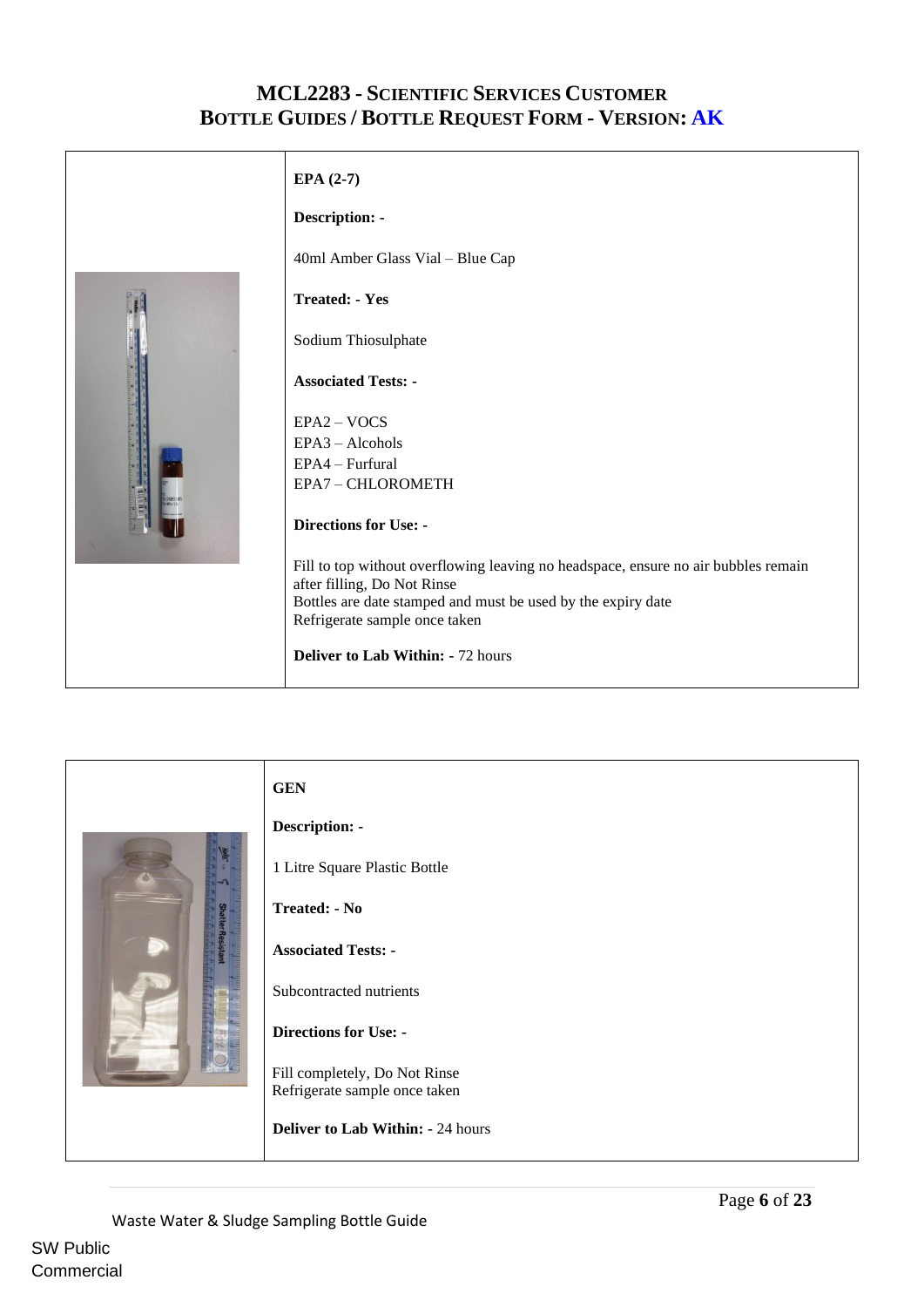<span id="page-5-0"></span>

<span id="page-5-1"></span>

Commercial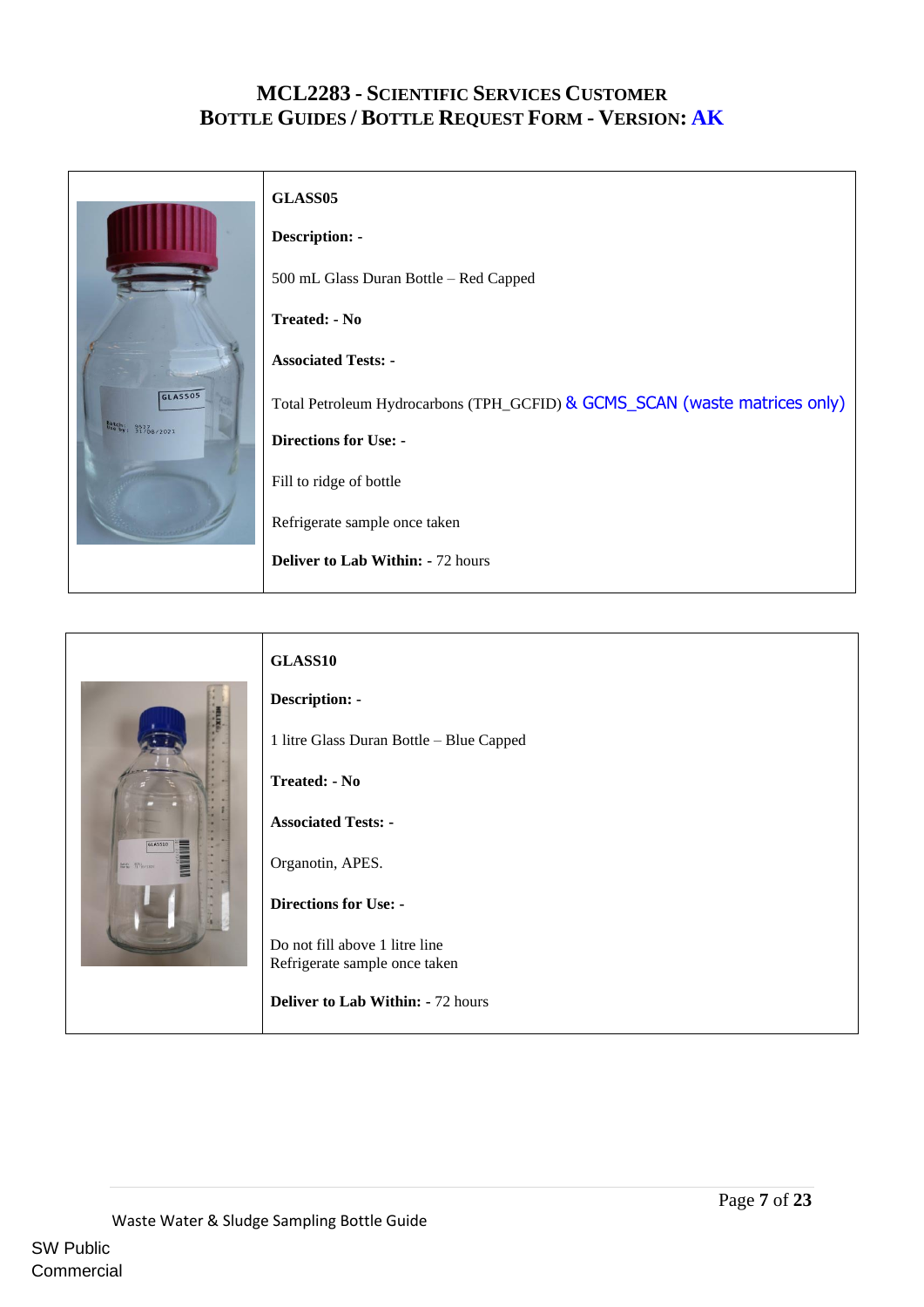|                                   | GLASS05                                                                    |
|-----------------------------------|----------------------------------------------------------------------------|
|                                   | <b>Description: -</b>                                                      |
|                                   | 500 mL Glass Duran Bottle - Red Capped                                     |
|                                   | <b>Treated: - No</b>                                                       |
|                                   | <b>Associated Tests: -</b>                                                 |
| GLASS05                           | Total Petroleum Hydrocarbons (TPH_GCFID) & GCMS_SCAN (waste matrices only) |
| Batch: 9527<br>Use by: 31/08/2021 | <b>Directions for Use: -</b>                                               |
|                                   | Fill to ridge of bottle                                                    |
|                                   | Refrigerate sample once taken                                              |
|                                   | <b>Deliver to Lab Within: - 72 hours</b>                                   |

<span id="page-6-1"></span><span id="page-6-0"></span>

|                                                         | GLASS10                                  |
|---------------------------------------------------------|------------------------------------------|
|                                                         | Description: -                           |
|                                                         | 1 litre Glass Duran Bottle - Blue Capped |
|                                                         | <b>Treated: - No</b>                     |
|                                                         | <b>Associated Tests: -</b>               |
| GLASS10<br><b>MANITES</b><br>Batch 8031<br>1971/11/2021 | Organotin, APES.                         |
|                                                         | <b>Directions for Use: -</b>             |
|                                                         | Do not fill above 1 litre line           |
|                                                         | Refrigerate sample once taken            |
|                                                         | <b>Deliver to Lab Within: - 72 hours</b> |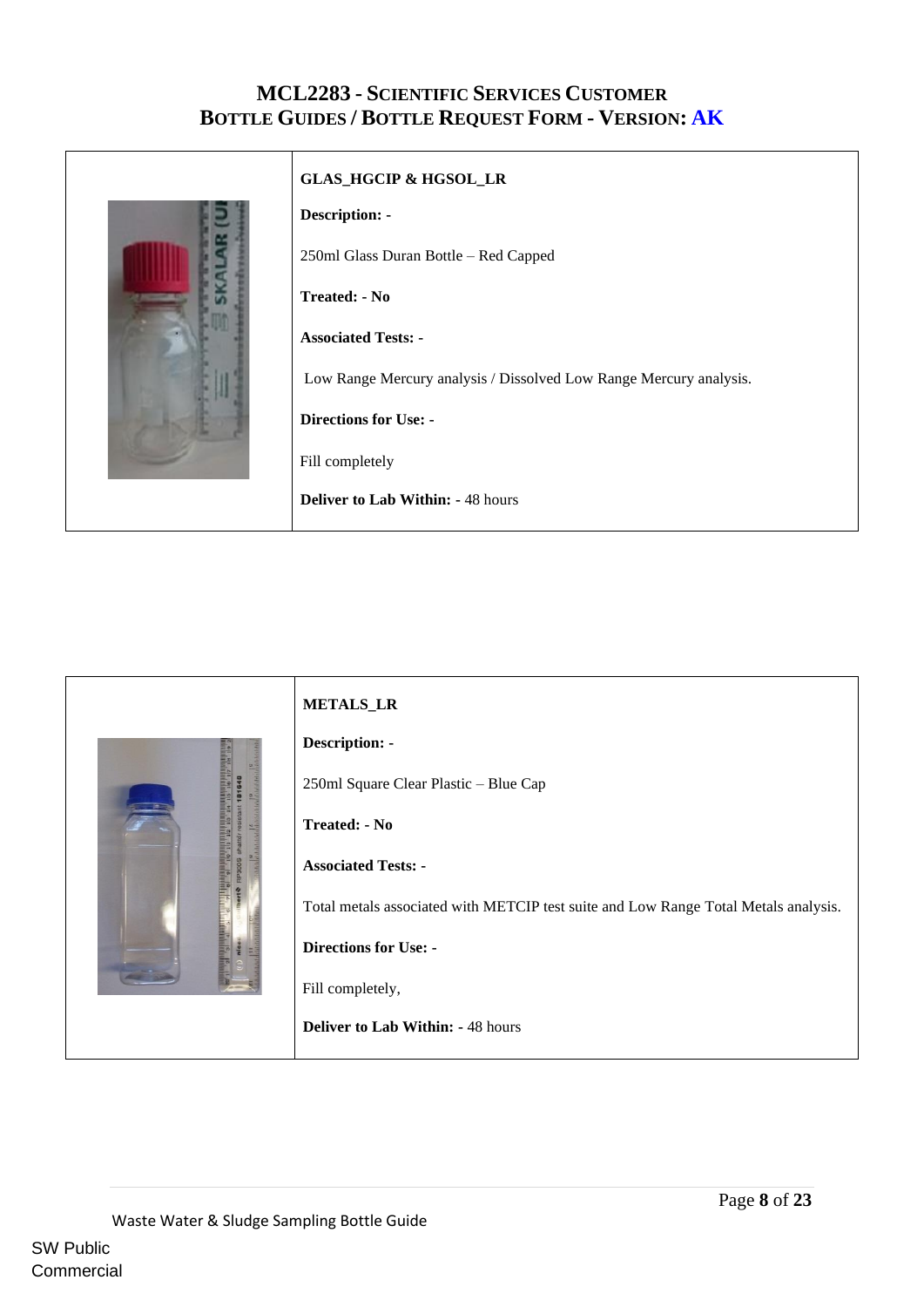<span id="page-7-0"></span>

<span id="page-7-1"></span>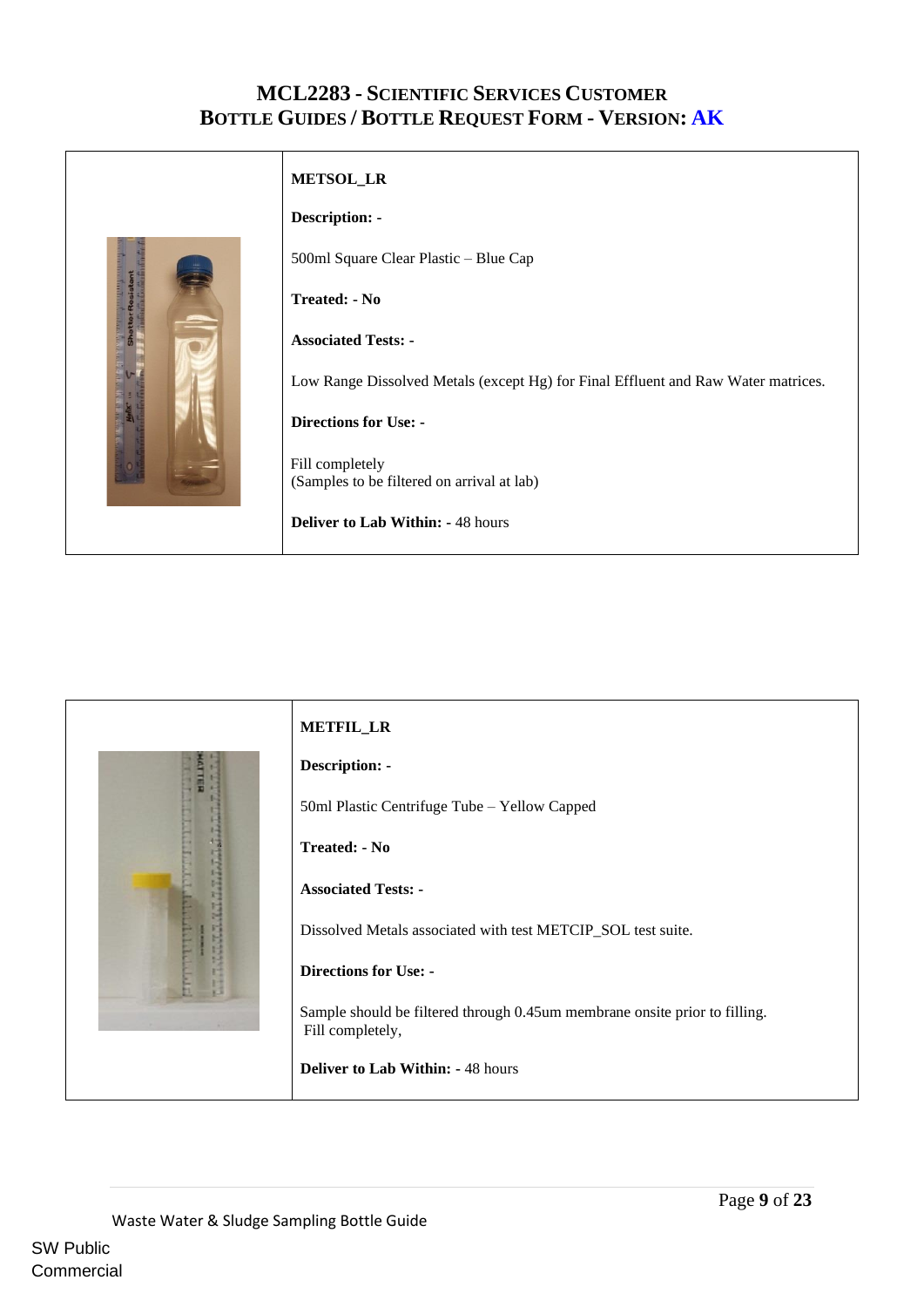<span id="page-8-0"></span>

<span id="page-8-2"></span><span id="page-8-1"></span>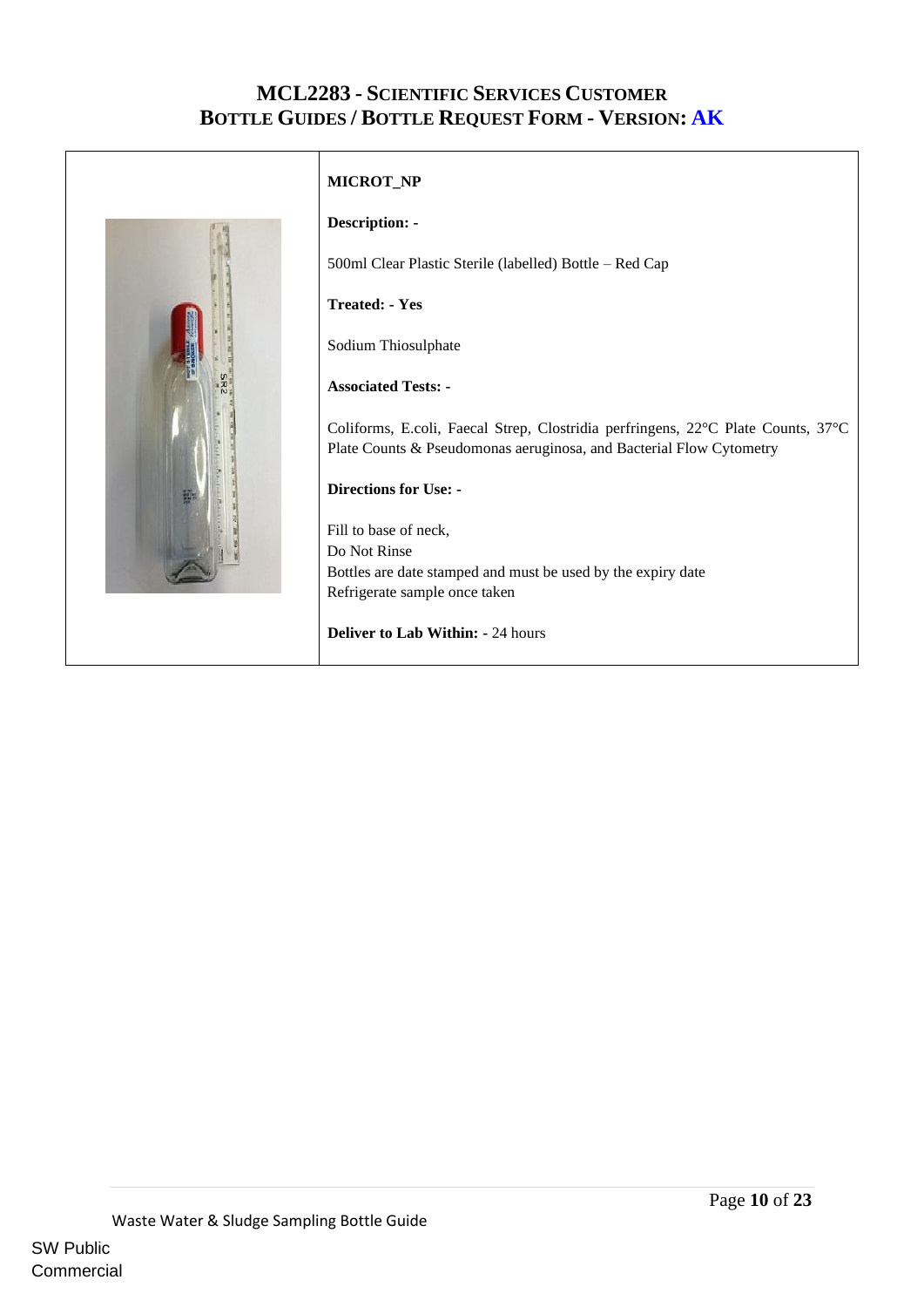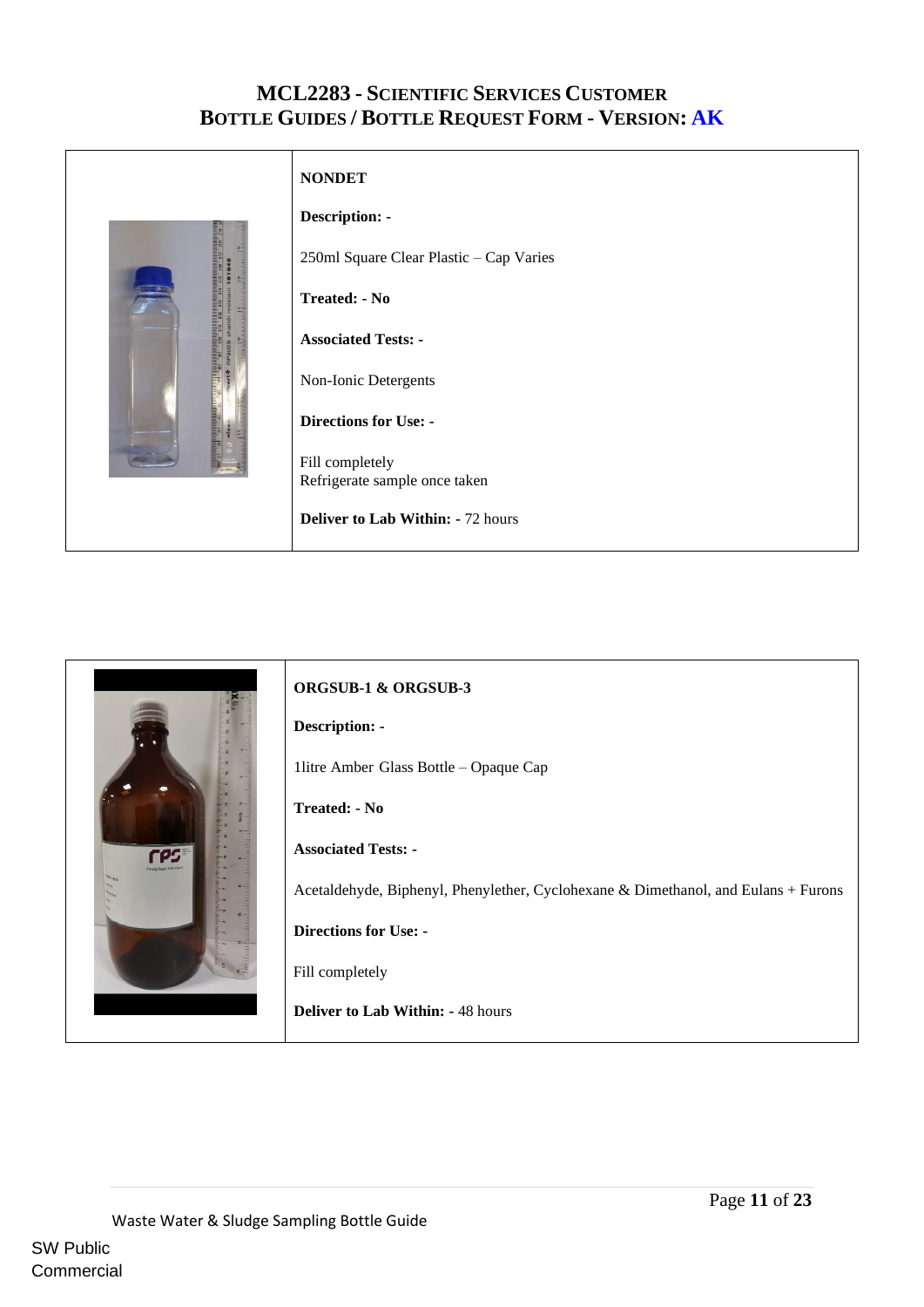<span id="page-10-0"></span>

<span id="page-10-1"></span>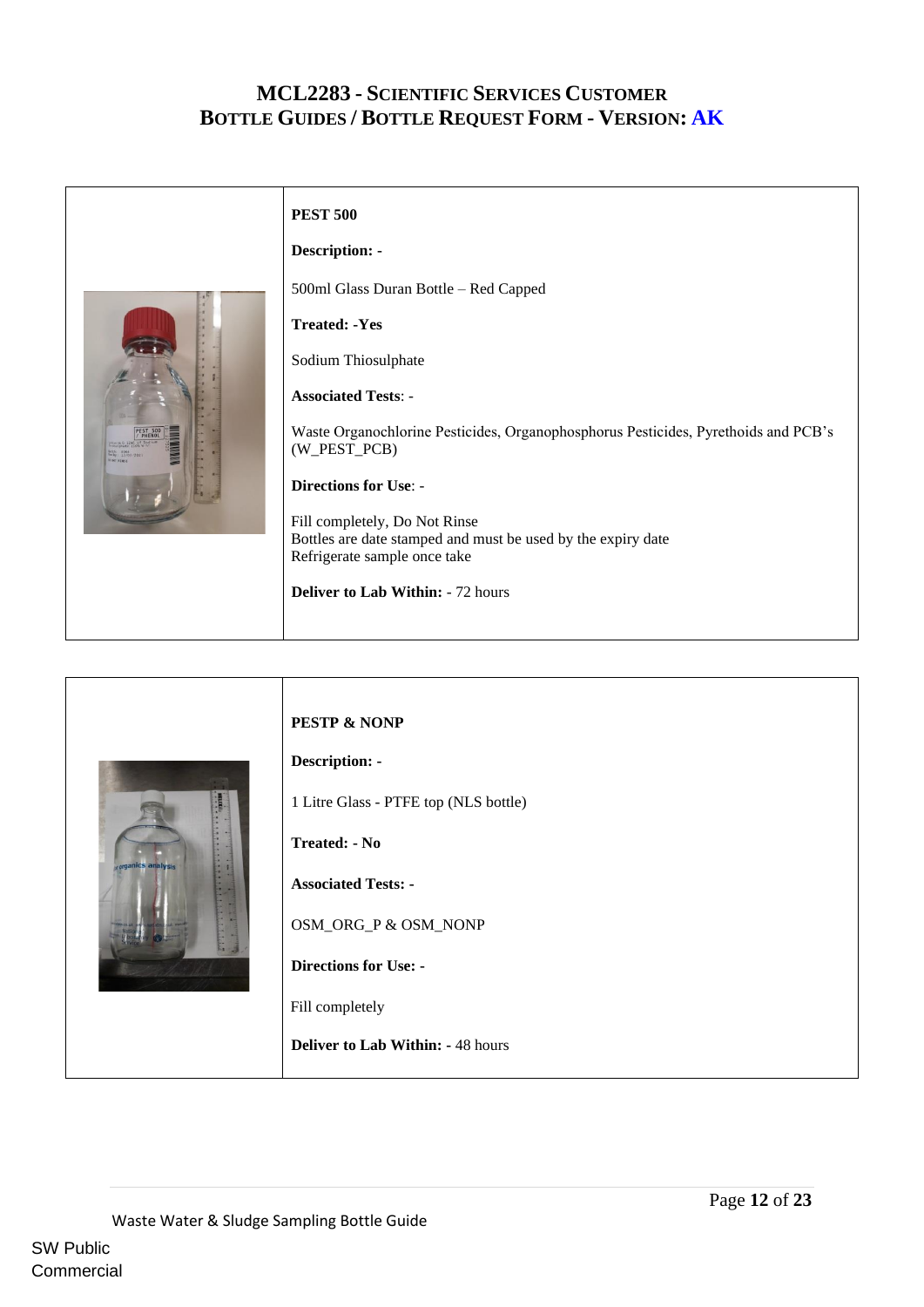<span id="page-11-0"></span>

<span id="page-11-1"></span>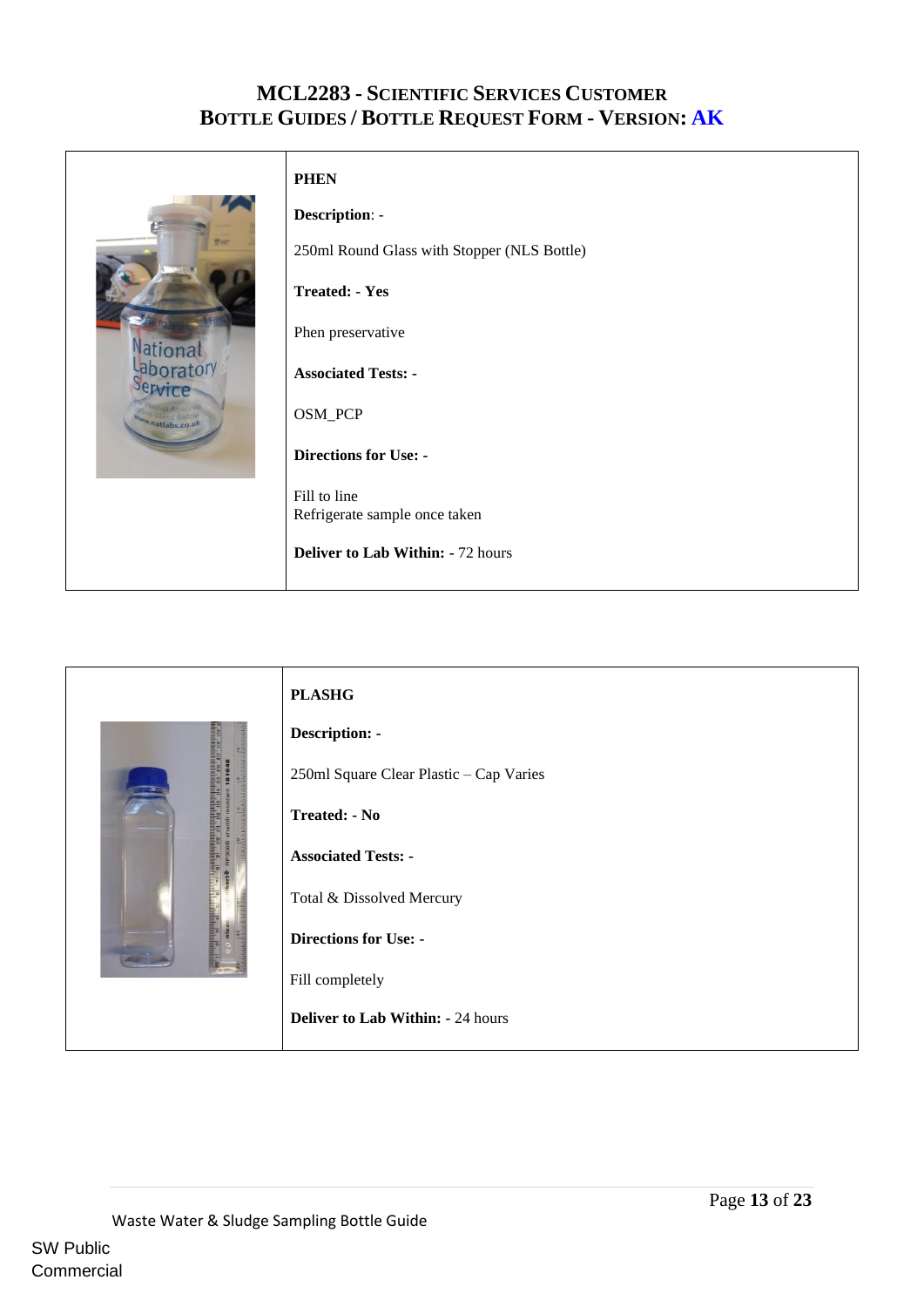

### <span id="page-12-0"></span>**PHEN**

**Description**: - 250ml Round Glass with Stopper (NLS Bottle) **Treated: - Yes** Phen preservative **Associated Tests: -** OSM\_PCP **Directions for Use: -** Fill to line Refrigerate sample once taken **Deliver to Lab Within: -** 72 hours

<span id="page-12-1"></span>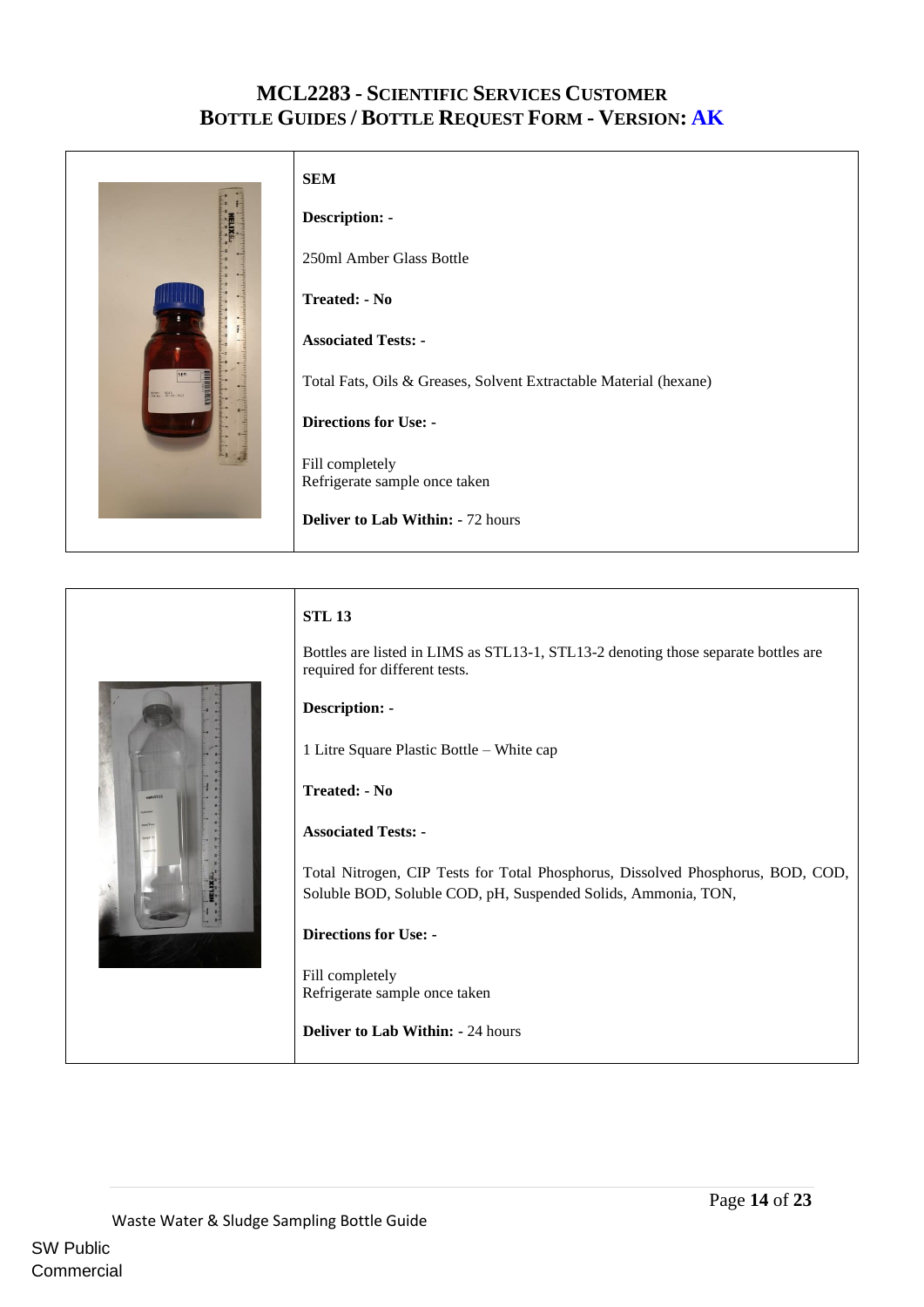<span id="page-13-0"></span>

### **STL 13**

Bottles are listed in LIMS as STL13-1, STL13-2 denoting those separate bottles are required for different tests.

#### **Description: -**

1 Litre Square Plastic Bottle – White cap

#### **Treated: - No**

#### **Associated Tests: -**

Total Nitrogen, CIP Tests for Total Phosphorus, Dissolved Phosphorus, BOD, COD, Soluble BOD, Soluble COD, pH, Suspended Solids, Ammonia, TON,

#### **Directions for Use: -**

 Fill completely Refrigerate sample once taken

**Deliver to Lab Within: -** 24 hours

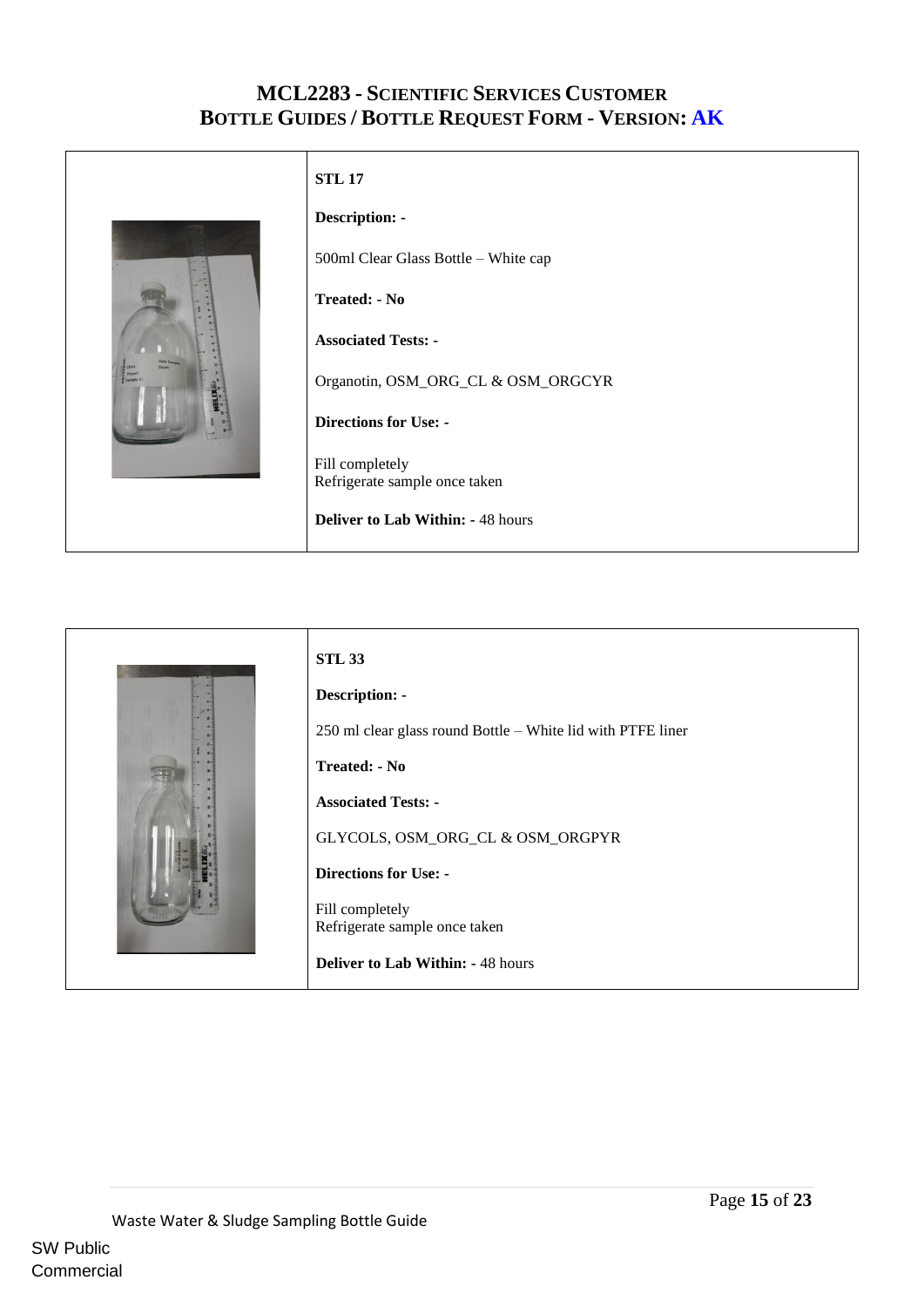<span id="page-14-0"></span>

<span id="page-14-1"></span>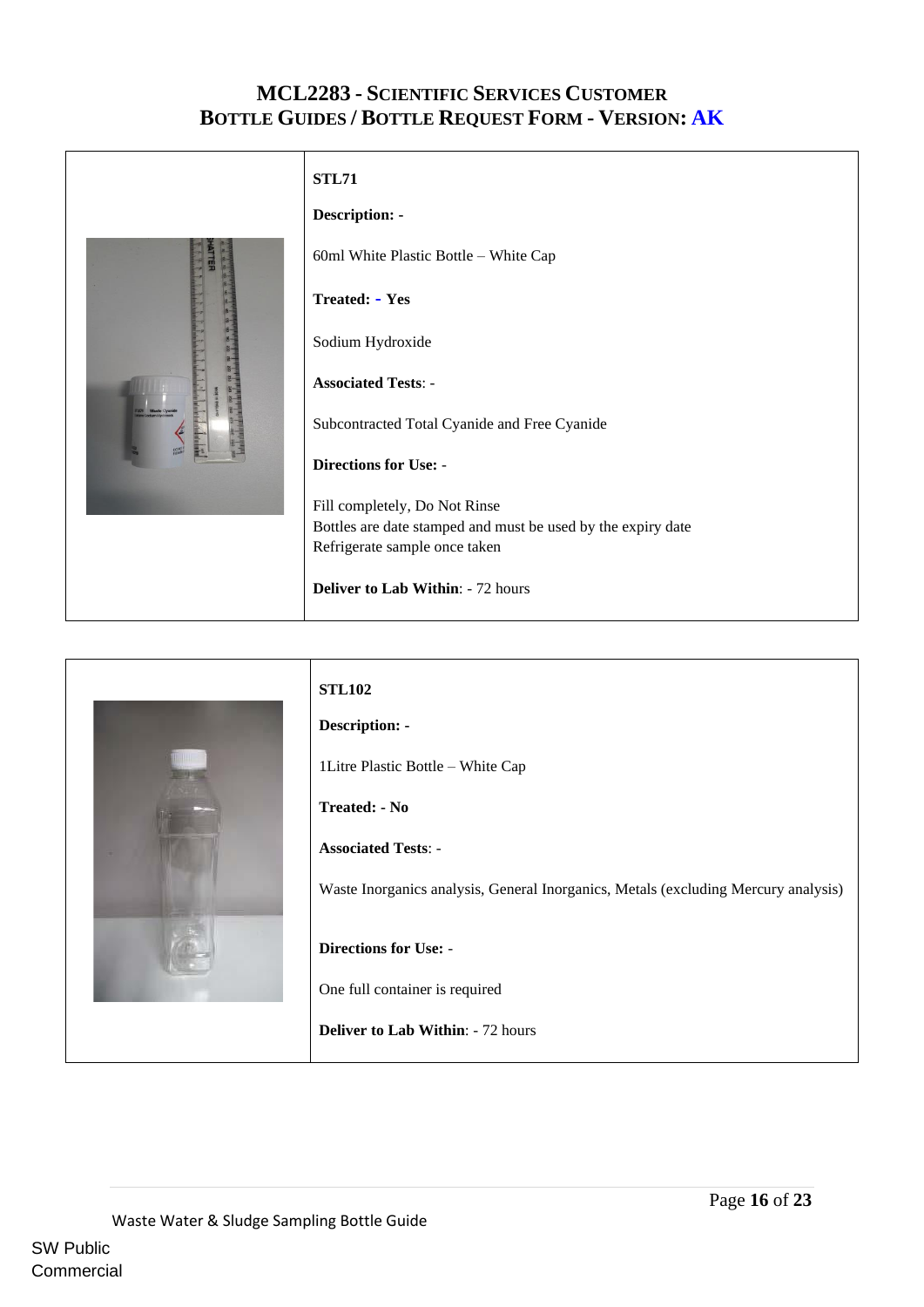#### <span id="page-15-0"></span>**STL71**



<span id="page-15-1"></span>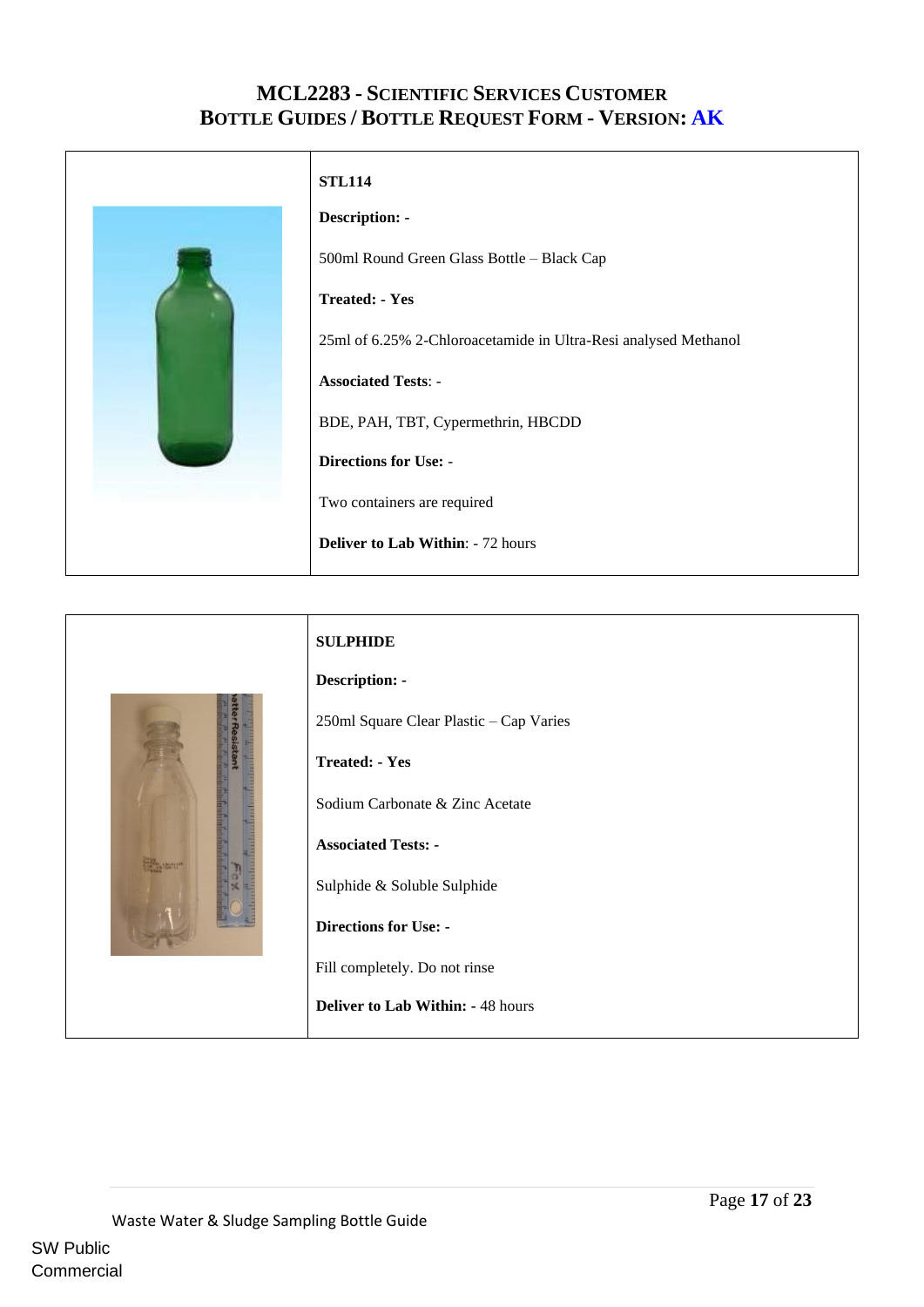<span id="page-16-0"></span>

<span id="page-16-1"></span>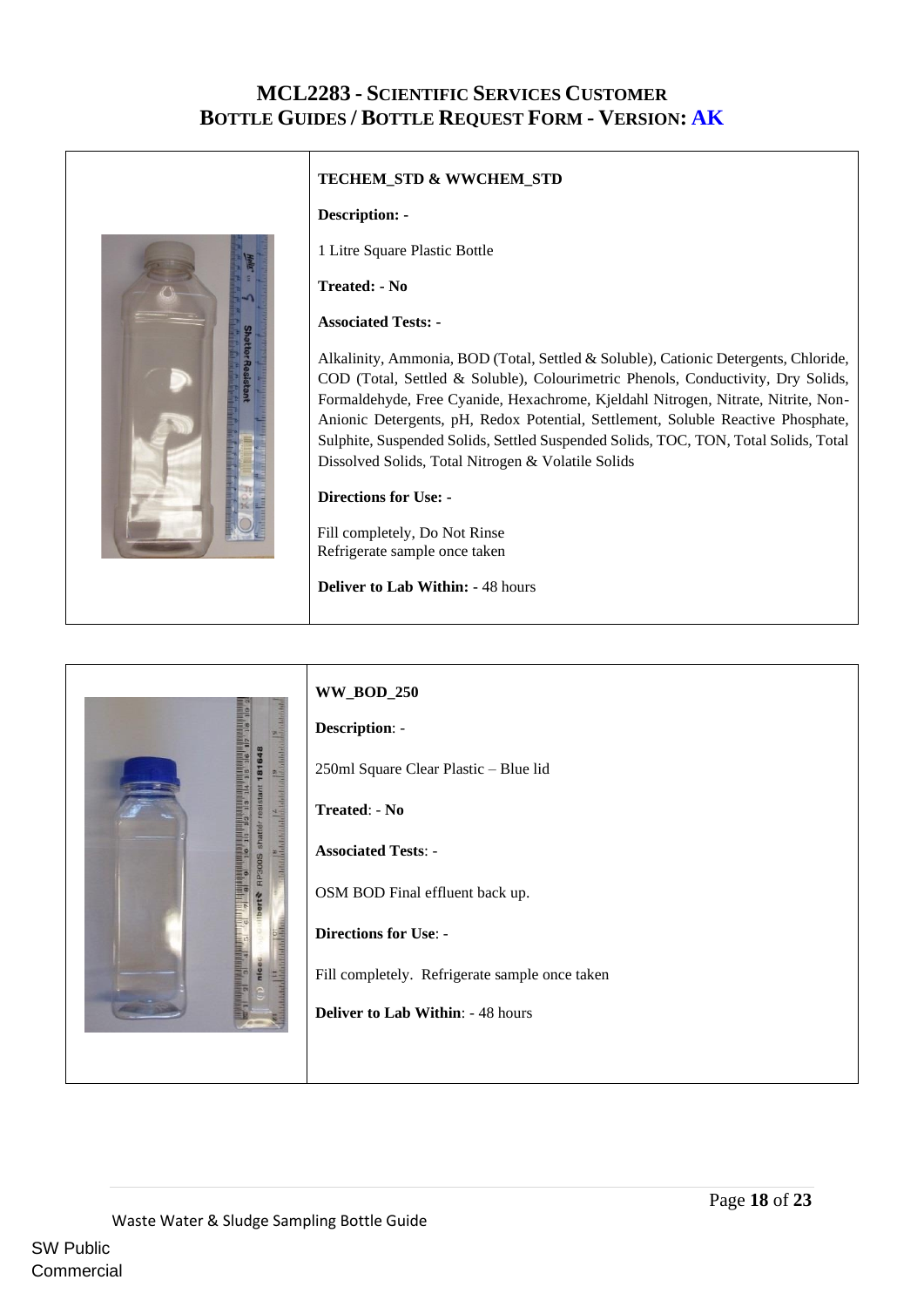

#### <span id="page-17-0"></span>**TECHEM\_STD & WWCHEM\_STD**

#### **Description: -**

1 Litre Square Plastic Bottle

**Treated: - No**

#### **Associated Tests: -**

Alkalinity, Ammonia, BOD (Total, Settled & Soluble), Cationic Detergents, Chloride, COD (Total, Settled & Soluble), Colourimetric Phenols, Conductivity, Dry Solids, Formaldehyde, Free Cyanide, Hexachrome, Kjeldahl Nitrogen, Nitrate, Nitrite, Non-Anionic Detergents, pH, Redox Potential, Settlement, Soluble Reactive Phosphate, Sulphite, Suspended Solids, Settled Suspended Solids, TOC, TON, Total Solids, Total Dissolved Solids, Total Nitrogen & Volatile Solids

#### **Directions for Use: -**

 Fill completely, Do Not Rinse Refrigerate sample once taken

<span id="page-17-1"></span>**Deliver to Lab Within: -** 48 hours

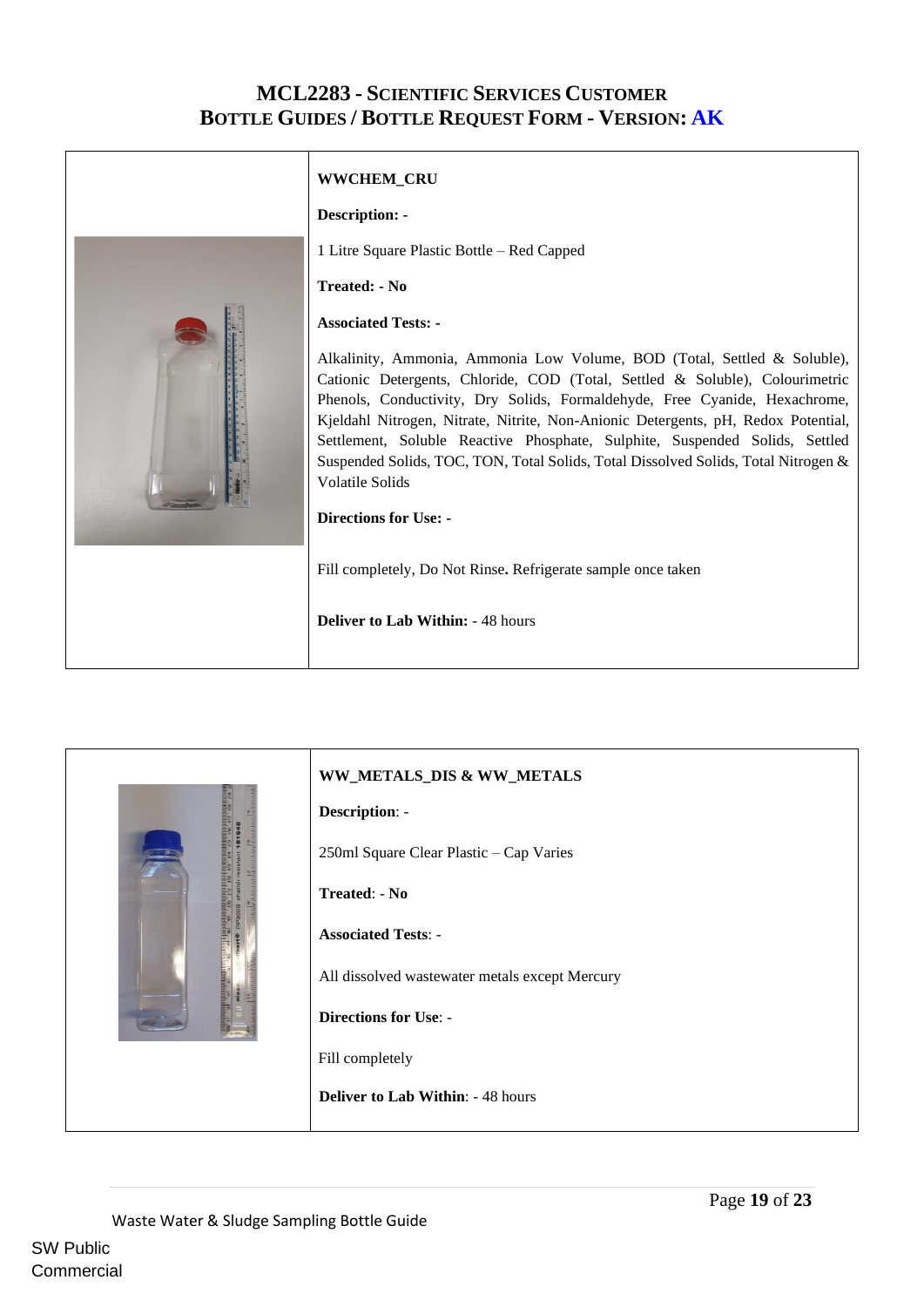<span id="page-18-0"></span>

<span id="page-18-1"></span>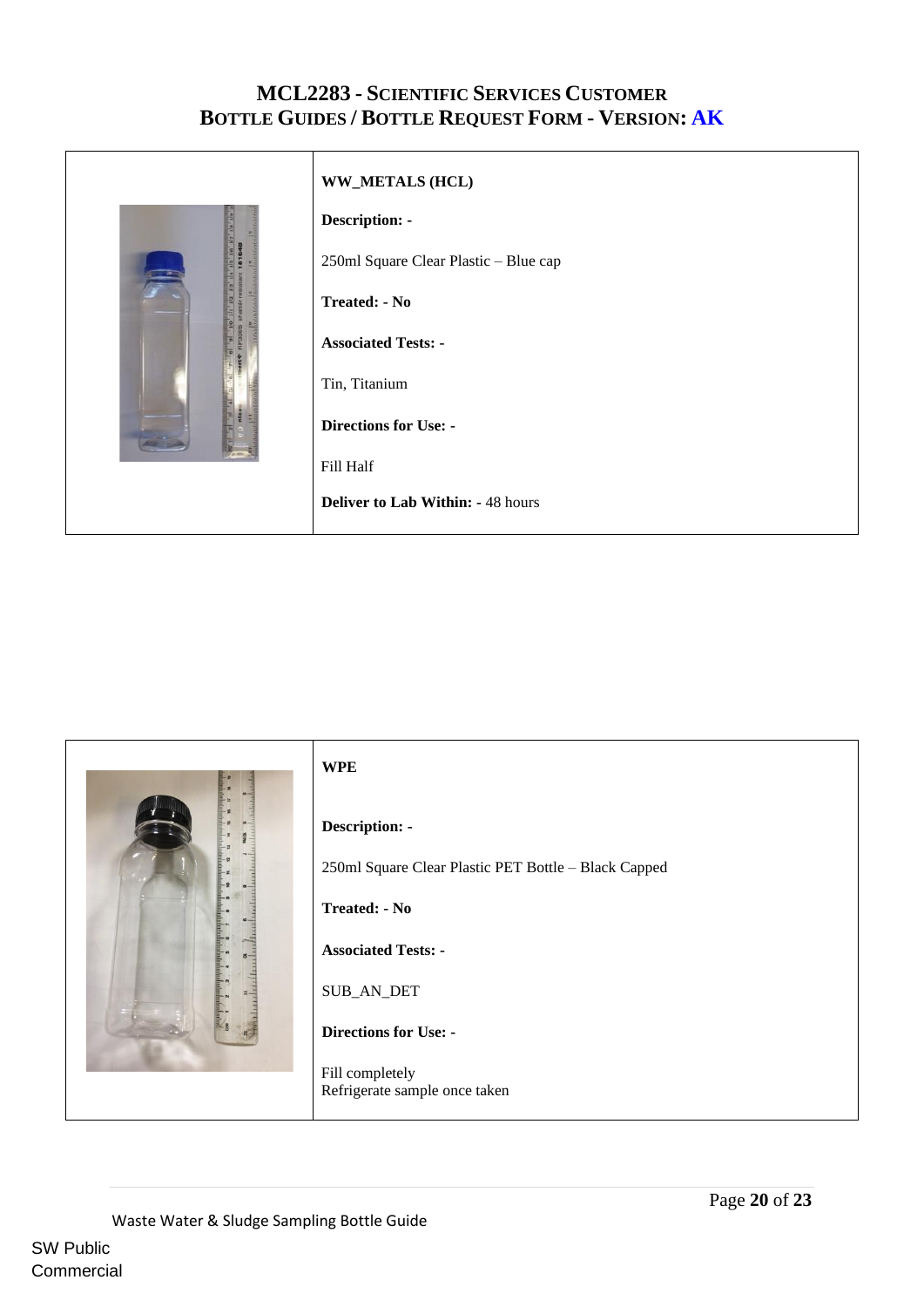

#### **WW\_METALS (HCL)**

#### **Description: -**

250ml Square Clear Plastic – Blue cap

**Treated: - No**

**Associated Tests: -**

Tin, Titanium

**Directions for Use: -**

Fill Half

<span id="page-19-0"></span>**Deliver to Lab Within: -** 48 hours

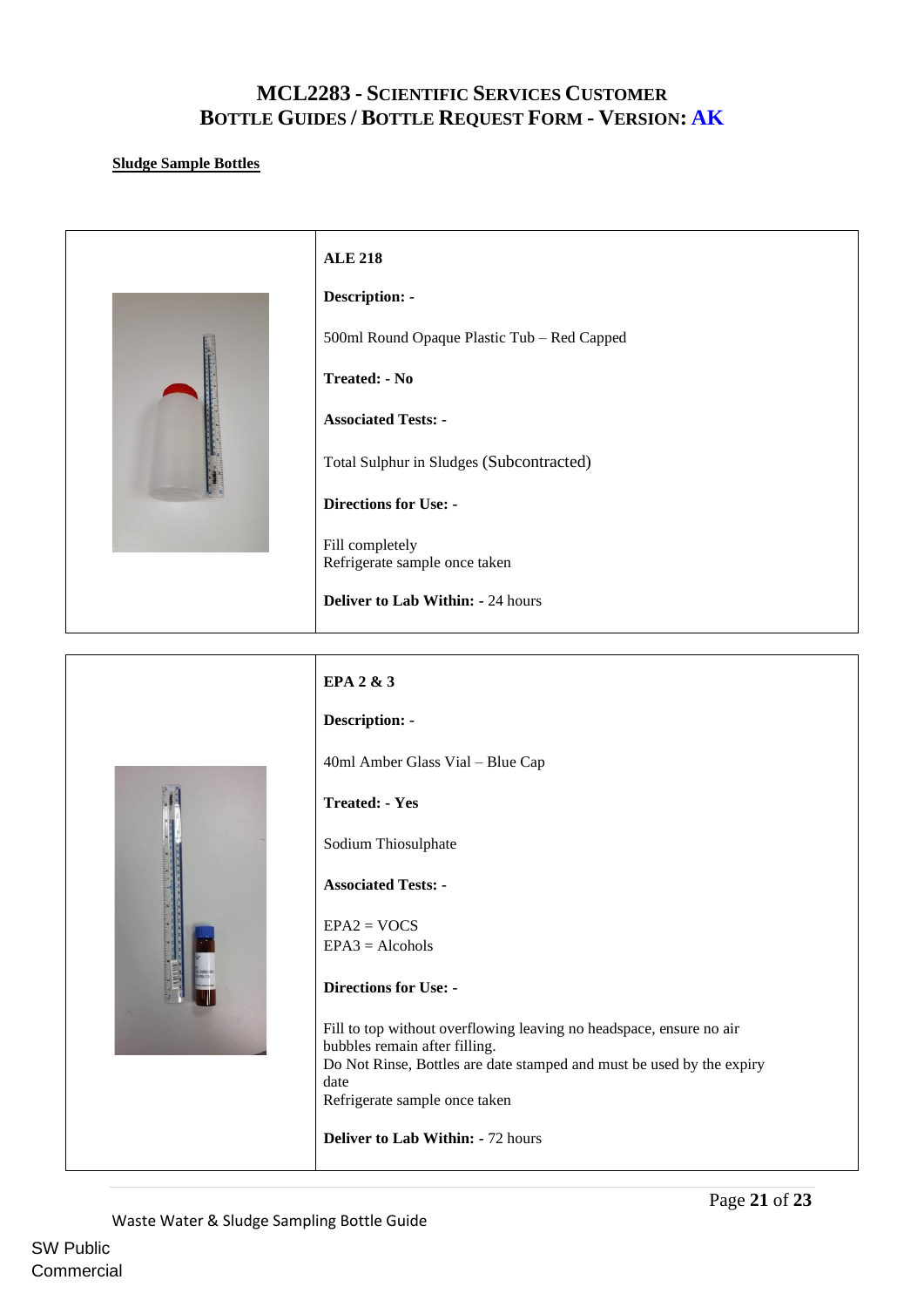#### <span id="page-20-0"></span>**Sludge Sample Bottles**



<span id="page-20-1"></span>**Deliver to Lab Within: -** 72 hours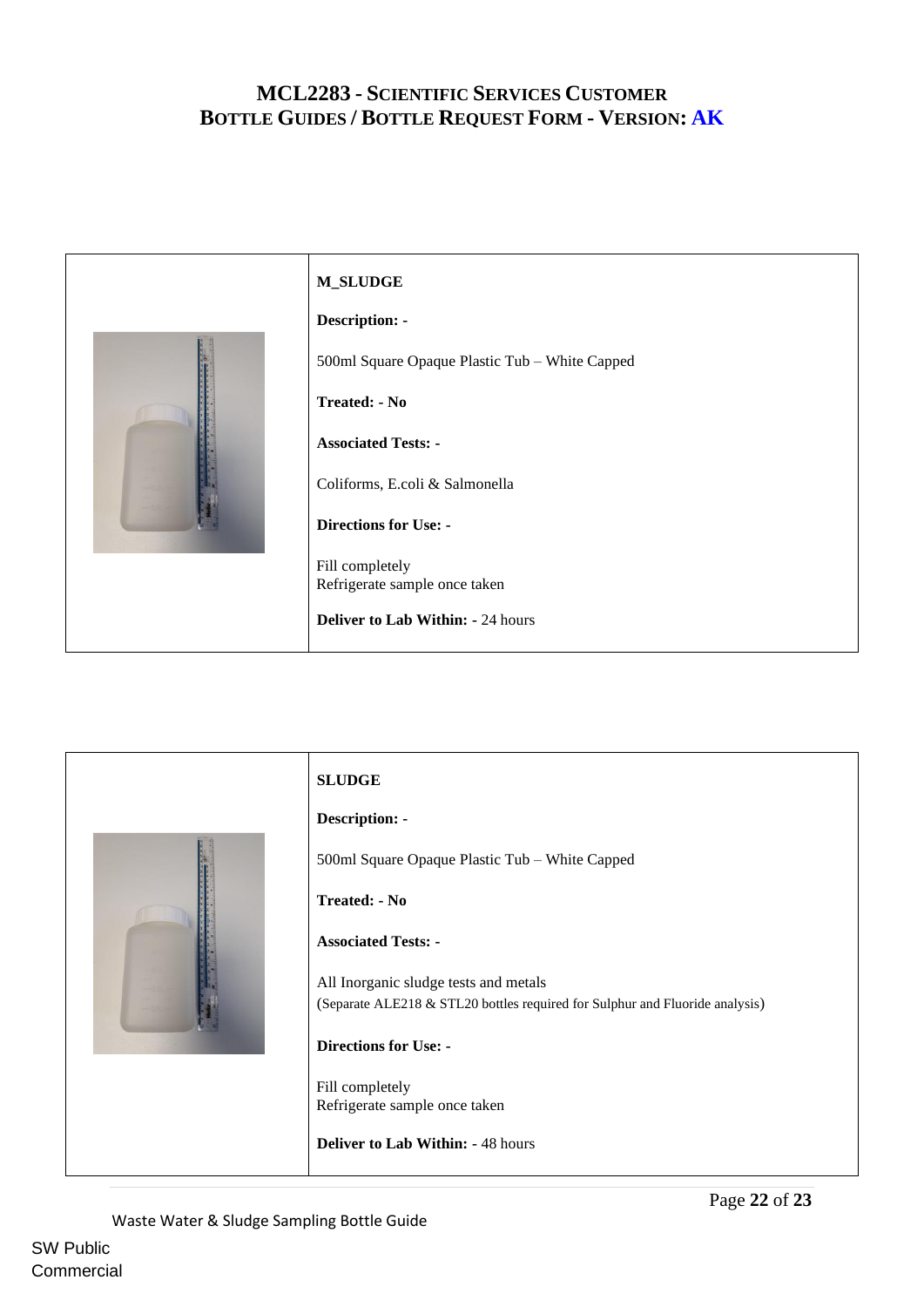<span id="page-21-0"></span>

<span id="page-21-1"></span>

Waste Water & Sludge Sampling Bottle Guide